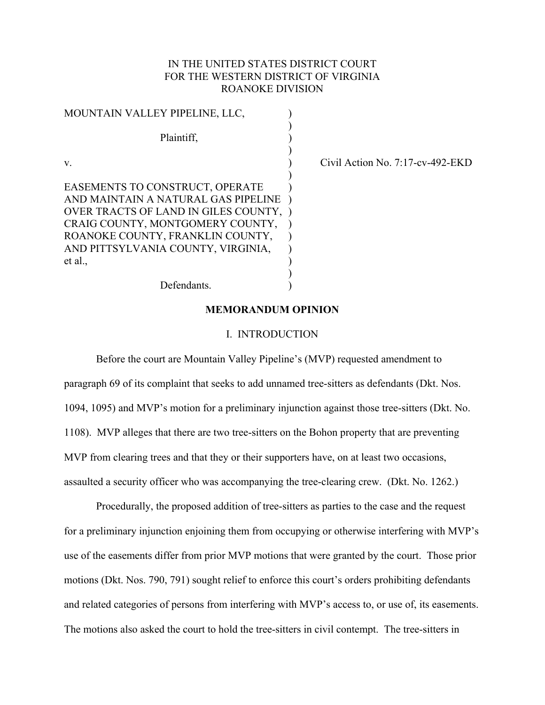# IN THE UNITED STATES DISTRICT COURT FOR THE WESTERN DISTRICT OF VIRGINIA ROANOKE DIVISION

| MOUNTAIN VALLEY PIPELINE, LLC,                                                                                 |  |
|----------------------------------------------------------------------------------------------------------------|--|
| Plaintiff,                                                                                                     |  |
| V                                                                                                              |  |
| EASEMENTS TO CONSTRUCT, OPERATE<br>AND MAINTAIN A NATURAL GAS PIPELINE<br>OVER TRACTS OF LAND IN GILES COUNTY, |  |
| CRAIG COUNTY, MONTGOMERY COUNTY,<br>ROANOKE COUNTY, FRANKLIN COUNTY,                                           |  |
| AND PITTSYLVANIA COUNTY, VIRGINIA,<br>et al.,                                                                  |  |
| Defendants.                                                                                                    |  |

Civil Action No.  $7:17$ -cv-492-EKD

### **MEMORANDUM OPINION**

#### I. INTRODUCTION

 Before the court are Mountain Valley Pipeline's (MVP) requested amendment to paragraph 69 of its complaint that seeks to add unnamed tree-sitters as defendants (Dkt. Nos. 1094, 1095) and MVP's motion for a preliminary injunction against those tree-sitters (Dkt. No. 1108). MVP alleges that there are two tree-sitters on the Bohon property that are preventing MVP from clearing trees and that they or their supporters have, on at least two occasions, assaulted a security officer who was accompanying the tree-clearing crew. (Dkt. No. 1262.)

Procedurally, the proposed addition of tree-sitters as parties to the case and the request for a preliminary injunction enjoining them from occupying or otherwise interfering with MVP's use of the easements differ from prior MVP motions that were granted by the court. Those prior motions (Dkt. Nos. 790, 791) sought relief to enforce this court's orders prohibiting defendants and related categories of persons from interfering with MVP's access to, or use of, its easements. The motions also asked the court to hold the tree-sitters in civil contempt. The tree-sitters in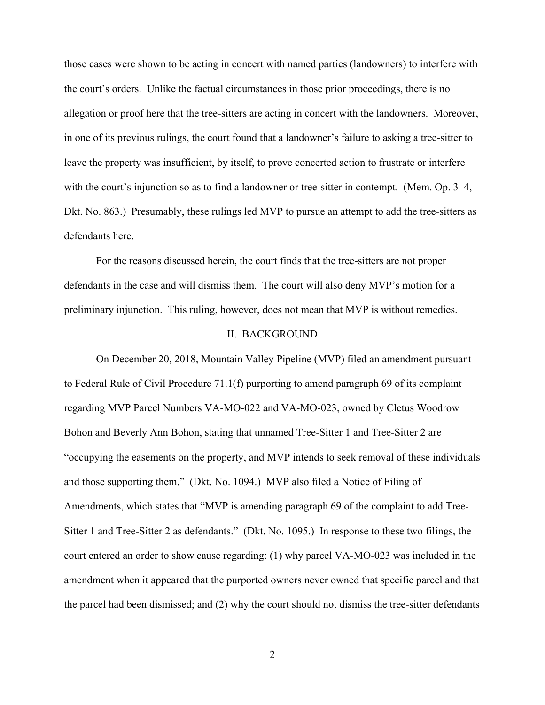those cases were shown to be acting in concert with named parties (landowners) to interfere with the court's orders. Unlike the factual circumstances in those prior proceedings, there is no allegation or proof here that the tree-sitters are acting in concert with the landowners. Moreover, in one of its previous rulings, the court found that a landowner's failure to asking a tree-sitter to leave the property was insufficient, by itself, to prove concerted action to frustrate or interfere with the court's injunction so as to find a landowner or tree-sitter in contempt. (Mem. Op. 3–4, Dkt. No. 863.) Presumably, these rulings led MVP to pursue an attempt to add the tree-sitters as defendants here.

For the reasons discussed herein, the court finds that the tree-sitters are not proper defendants in the case and will dismiss them. The court will also deny MVP's motion for a preliminary injunction. This ruling, however, does not mean that MVP is without remedies.

#### II. BACKGROUND

On December 20, 2018, Mountain Valley Pipeline (MVP) filed an amendment pursuant to Federal Rule of Civil Procedure 71.1(f) purporting to amend paragraph 69 of its complaint regarding MVP Parcel Numbers VA-MO-022 and VA-MO-023, owned by Cletus Woodrow Bohon and Beverly Ann Bohon, stating that unnamed Tree-Sitter 1 and Tree-Sitter 2 are "occupying the easements on the property, and MVP intends to seek removal of these individuals and those supporting them." (Dkt. No. 1094.) MVP also filed a Notice of Filing of Amendments, which states that "MVP is amending paragraph 69 of the complaint to add Tree-Sitter 1 and Tree-Sitter 2 as defendants." (Dkt. No. 1095.) In response to these two filings, the court entered an order to show cause regarding: (1) why parcel VA-MO-023 was included in the amendment when it appeared that the purported owners never owned that specific parcel and that the parcel had been dismissed; and (2) why the court should not dismiss the tree-sitter defendants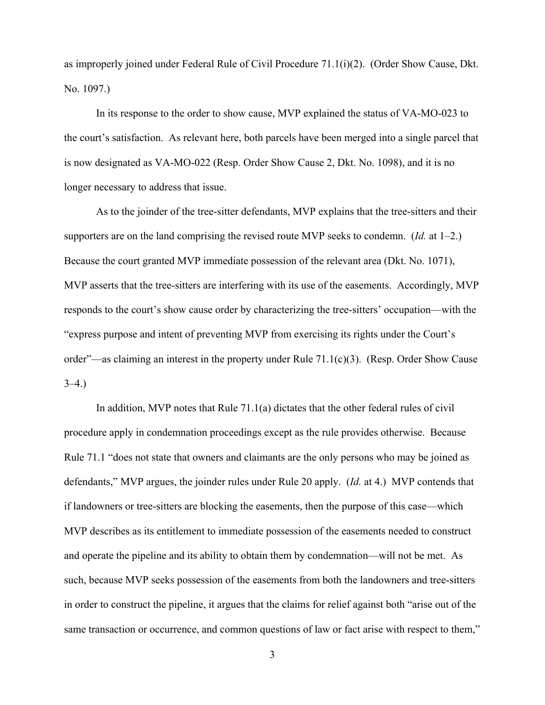as improperly joined under Federal Rule of Civil Procedure 71.1(i)(2). (Order Show Cause, Dkt. No. 1097.)

 In its response to the order to show cause, MVP explained the status of VA-MO-023 to the court's satisfaction. As relevant here, both parcels have been merged into a single parcel that is now designated as VA-MO-022 (Resp. Order Show Cause 2, Dkt. No. 1098), and it is no longer necessary to address that issue.

As to the joinder of the tree-sitter defendants, MVP explains that the tree-sitters and their supporters are on the land comprising the revised route MVP seeks to condemn. (*Id.* at 1–2.) Because the court granted MVP immediate possession of the relevant area (Dkt. No. 1071), MVP asserts that the tree-sitters are interfering with its use of the easements. Accordingly, MVP responds to the court's show cause order by characterizing the tree-sitters' occupation—with the "express purpose and intent of preventing MVP from exercising its rights under the Court's order"—as claiming an interest in the property under Rule 71.1(c)(3). (Resp. Order Show Cause  $3-4.$ )

In addition, MVP notes that Rule 71.1(a) dictates that the other federal rules of civil procedure apply in condemnation proceedings except as the rule provides otherwise. Because Rule 71.1 "does not state that owners and claimants are the only persons who may be joined as defendants," MVP argues, the joinder rules under Rule 20 apply. (*Id.* at 4.) MVP contends that if landowners or tree-sitters are blocking the easements, then the purpose of this case—which MVP describes as its entitlement to immediate possession of the easements needed to construct and operate the pipeline and its ability to obtain them by condemnation—will not be met. As such, because MVP seeks possession of the easements from both the landowners and tree-sitters in order to construct the pipeline, it argues that the claims for relief against both "arise out of the same transaction or occurrence, and common questions of law or fact arise with respect to them,"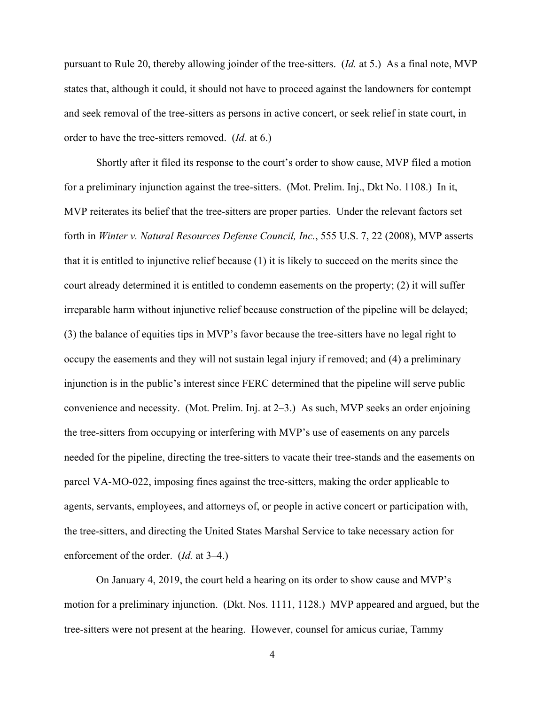pursuant to Rule 20, thereby allowing joinder of the tree-sitters. (*Id.* at 5.) As a final note, MVP states that, although it could, it should not have to proceed against the landowners for contempt and seek removal of the tree-sitters as persons in active concert, or seek relief in state court, in order to have the tree-sitters removed. (*Id.* at 6.)

Shortly after it filed its response to the court's order to show cause, MVP filed a motion for a preliminary injunction against the tree-sitters. (Mot. Prelim. Inj., Dkt No. 1108.) In it, MVP reiterates its belief that the tree-sitters are proper parties. Under the relevant factors set forth in *Winter v. Natural Resources Defense Council, Inc.*, 555 U.S. 7, 22 (2008), MVP asserts that it is entitled to injunctive relief because (1) it is likely to succeed on the merits since the court already determined it is entitled to condemn easements on the property; (2) it will suffer irreparable harm without injunctive relief because construction of the pipeline will be delayed; (3) the balance of equities tips in MVP's favor because the tree-sitters have no legal right to occupy the easements and they will not sustain legal injury if removed; and (4) a preliminary injunction is in the public's interest since FERC determined that the pipeline will serve public convenience and necessity. (Mot. Prelim. Inj. at 2–3.) As such, MVP seeks an order enjoining the tree-sitters from occupying or interfering with MVP's use of easements on any parcels needed for the pipeline, directing the tree-sitters to vacate their tree-stands and the easements on parcel VA-MO-022, imposing fines against the tree-sitters, making the order applicable to agents, servants, employees, and attorneys of, or people in active concert or participation with, the tree-sitters, and directing the United States Marshal Service to take necessary action for enforcement of the order. (*Id.* at 3–4.)

On January 4, 2019, the court held a hearing on its order to show cause and MVP's motion for a preliminary injunction. (Dkt. Nos. 1111, 1128.) MVP appeared and argued, but the tree-sitters were not present at the hearing. However, counsel for amicus curiae, Tammy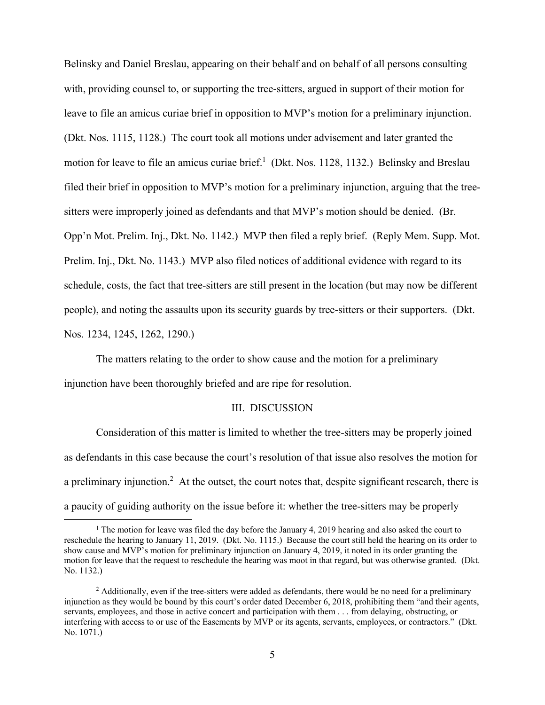Belinsky and Daniel Breslau, appearing on their behalf and on behalf of all persons consulting with, providing counsel to, or supporting the tree-sitters, argued in support of their motion for leave to file an amicus curiae brief in opposition to MVP's motion for a preliminary injunction. (Dkt. Nos. 1115, 1128.) The court took all motions under advisement and later granted the motion for leave to file an amicus curiae brief.<sup>1</sup> (Dkt. Nos. 1128, 1132.) Belinsky and Breslau filed their brief in opposition to MVP's motion for a preliminary injunction, arguing that the treesitters were improperly joined as defendants and that MVP's motion should be denied. (Br. Opp'n Mot. Prelim. Inj., Dkt. No. 1142.) MVP then filed a reply brief. (Reply Mem. Supp. Mot. Prelim. Inj., Dkt. No. 1143.) MVP also filed notices of additional evidence with regard to its schedule, costs, the fact that tree-sitters are still present in the location (but may now be different people), and noting the assaults upon its security guards by tree-sitters or their supporters. (Dkt. Nos. 1234, 1245, 1262, 1290.)

The matters relating to the order to show cause and the motion for a preliminary injunction have been thoroughly briefed and are ripe for resolution.

#### III. DISCUSSION

 Consideration of this matter is limited to whether the tree-sitters may be properly joined as defendants in this case because the court's resolution of that issue also resolves the motion for a preliminary injunction.<sup>2</sup> At the outset, the court notes that, despite significant research, there is a paucity of guiding authority on the issue before it: whether the tree-sitters may be properly

<sup>&</sup>lt;u>1</u> <sup>1</sup> The motion for leave was filed the day before the January 4, 2019 hearing and also asked the court to reschedule the hearing to January 11, 2019. (Dkt. No. 1115.) Because the court still held the hearing on its order to show cause and MVP's motion for preliminary injunction on January 4, 2019, it noted in its order granting the motion for leave that the request to reschedule the hearing was moot in that regard, but was otherwise granted. (Dkt. No. 1132.)

<sup>&</sup>lt;sup>2</sup> Additionally, even if the tree-sitters were added as defendants, there would be no need for a preliminary injunction as they would be bound by this court's order dated December 6, 2018, prohibiting them "and their agents, servants, employees, and those in active concert and participation with them . . . from delaying, obstructing, or interfering with access to or use of the Easements by MVP or its agents, servants, employees, or contractors." (Dkt. No. 1071.)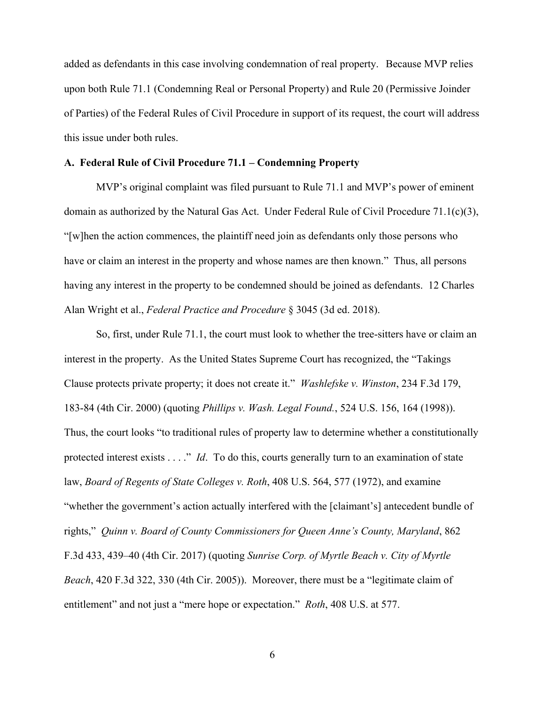added as defendants in this case involving condemnation of real property. Because MVP relies upon both Rule 71.1 (Condemning Real or Personal Property) and Rule 20 (Permissive Joinder of Parties) of the Federal Rules of Civil Procedure in support of its request, the court will address this issue under both rules.

## **A. Federal Rule of Civil Procedure 71.1 – Condemning Property**

 MVP's original complaint was filed pursuant to Rule 71.1 and MVP's power of eminent domain as authorized by the Natural Gas Act. Under Federal Rule of Civil Procedure 71.1(c)(3), "[w]hen the action commences, the plaintiff need join as defendants only those persons who have or claim an interest in the property and whose names are then known." Thus, all persons having any interest in the property to be condemned should be joined as defendants. 12 Charles Alan Wright et al., *Federal Practice and Procedure* § 3045 (3d ed. 2018).

 So, first, under Rule 71.1, the court must look to whether the tree-sitters have or claim an interest in the property. As the United States Supreme Court has recognized, the "Takings Clause protects private property; it does not create it." *Washlefske v. Winston*, 234 F.3d 179, 183-84 (4th Cir. 2000) (quoting *Phillips v. Wash. Legal Found.*, 524 U.S. 156, 164 (1998)). Thus, the court looks "to traditional rules of property law to determine whether a constitutionally protected interest exists . . . ." *Id*. To do this, courts generally turn to an examination of state law, *Board of Regents of State Colleges v. Roth*, 408 U.S. 564, 577 (1972), and examine "whether the government's action actually interfered with the [claimant's] antecedent bundle of rights," *Quinn v. Board of County Commissioners for Queen Anne's County, Maryland*, 862 F.3d 433, 439–40 (4th Cir. 2017) (quoting *Sunrise Corp. of Myrtle Beach v. City of Myrtle Beach*, 420 F.3d 322, 330 (4th Cir. 2005)). Moreover, there must be a "legitimate claim of entitlement" and not just a "mere hope or expectation." *Roth*, 408 U.S. at 577.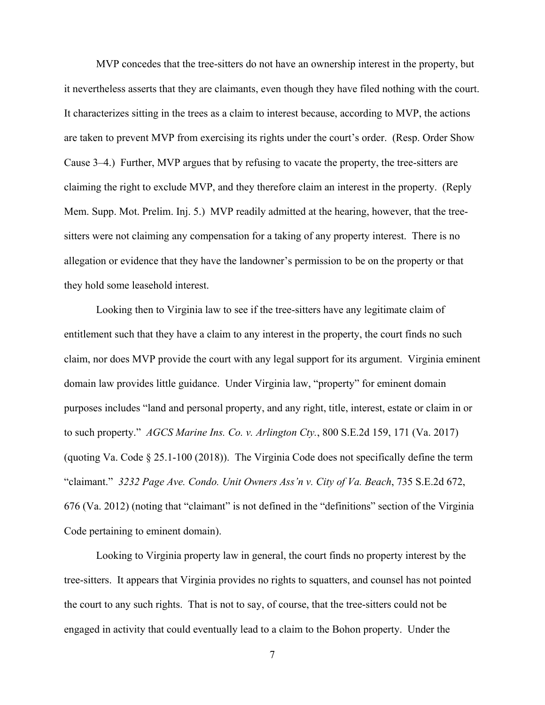MVP concedes that the tree-sitters do not have an ownership interest in the property, but it nevertheless asserts that they are claimants, even though they have filed nothing with the court. It characterizes sitting in the trees as a claim to interest because, according to MVP, the actions are taken to prevent MVP from exercising its rights under the court's order. (Resp. Order Show Cause 3–4.) Further, MVP argues that by refusing to vacate the property, the tree-sitters are claiming the right to exclude MVP, and they therefore claim an interest in the property. (Reply Mem. Supp. Mot. Prelim. Inj. 5.) MVP readily admitted at the hearing, however, that the treesitters were not claiming any compensation for a taking of any property interest. There is no allegation or evidence that they have the landowner's permission to be on the property or that they hold some leasehold interest.

Looking then to Virginia law to see if the tree-sitters have any legitimate claim of entitlement such that they have a claim to any interest in the property, the court finds no such claim, nor does MVP provide the court with any legal support for its argument. Virginia eminent domain law provides little guidance. Under Virginia law, "property" for eminent domain purposes includes "land and personal property, and any right, title, interest, estate or claim in or to such property." *AGCS Marine Ins. Co. v. Arlington Cty.*, 800 S.E.2d 159, 171 (Va. 2017) (quoting Va. Code § 25.1-100 (2018)). The Virginia Code does not specifically define the term "claimant." *3232 Page Ave. Condo. Unit Owners Ass'n v. City of Va. Beach*, 735 S.E.2d 672, 676 (Va. 2012) (noting that "claimant" is not defined in the "definitions" section of the Virginia Code pertaining to eminent domain).

 Looking to Virginia property law in general, the court finds no property interest by the tree-sitters. It appears that Virginia provides no rights to squatters, and counsel has not pointed the court to any such rights. That is not to say, of course, that the tree-sitters could not be engaged in activity that could eventually lead to a claim to the Bohon property. Under the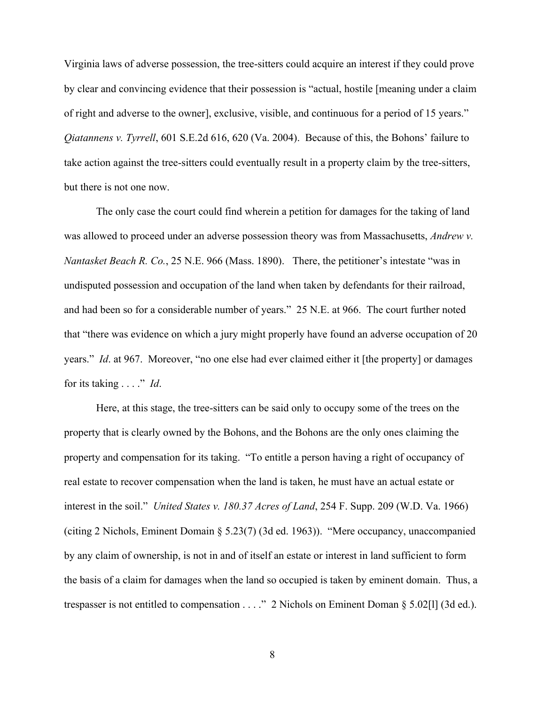Virginia laws of adverse possession, the tree-sitters could acquire an interest if they could prove by clear and convincing evidence that their possession is "actual, hostile [meaning under a claim of right and adverse to the owner], exclusive, visible, and continuous for a period of 15 years." *Qiatannens v. Tyrrell*, 601 S.E.2d 616, 620 (Va. 2004). Because of this, the Bohons' failure to take action against the tree-sitters could eventually result in a property claim by the tree-sitters, but there is not one now.

 The only case the court could find wherein a petition for damages for the taking of land was allowed to proceed under an adverse possession theory was from Massachusetts, *Andrew v. Nantasket Beach R. Co.*, 25 N.E. 966 (Mass. 1890). There, the petitioner's intestate "was in undisputed possession and occupation of the land when taken by defendants for their railroad, and had been so for a considerable number of years." 25 N.E. at 966. The court further noted that "there was evidence on which a jury might properly have found an adverse occupation of 20 years." *Id*. at 967. Moreover, "no one else had ever claimed either it [the property] or damages for its taking . . . ." *Id*.

 Here, at this stage, the tree-sitters can be said only to occupy some of the trees on the property that is clearly owned by the Bohons, and the Bohons are the only ones claiming the property and compensation for its taking. "To entitle a person having a right of occupancy of real estate to recover compensation when the land is taken, he must have an actual estate or interest in the soil." *United States v. 180.37 Acres of Land*, 254 F. Supp. 209 (W.D. Va. 1966) (citing 2 Nichols, Eminent Domain § 5.23(7) (3d ed. 1963)). "Mere occupancy, unaccompanied by any claim of ownership, is not in and of itself an estate or interest in land sufficient to form the basis of a claim for damages when the land so occupied is taken by eminent domain. Thus, a trespasser is not entitled to compensation . . . ." 2 Nichols on Eminent Doman § 5.02[l] (3d ed.).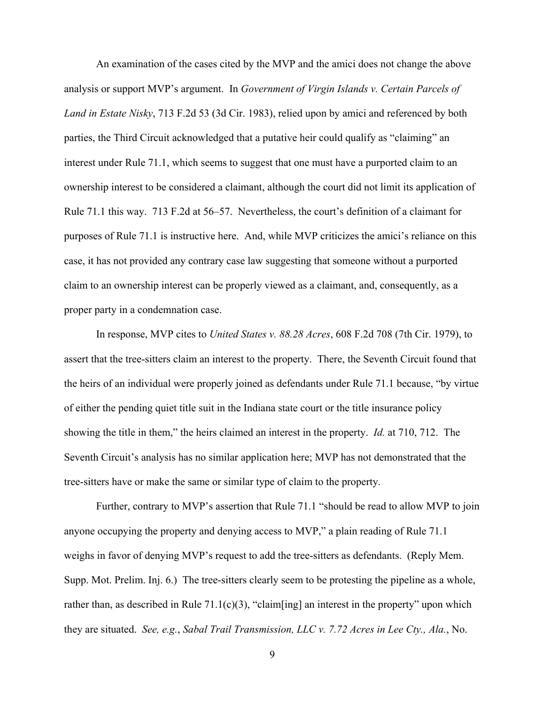An examination of the cases cited by the MVP and the amici does not change the above analysis or support MVP's argument. In *Government of Virgin Islands v. Certain Parcels of Land in Estate Nisky*, 713 F.2d 53 (3d Cir. 1983), relied upon by amici and referenced by both parties, the Third Circuit acknowledged that a putative heir could qualify as "claiming" an interest under Rule 71.1, which seems to suggest that one must have a purported claim to an ownership interest to be considered a claimant, although the court did not limit its application of Rule 71.1 this way. 713 F.2d at 56–57. Nevertheless, the court's definition of a claimant for purposes of Rule 71.1 is instructive here. And, while MVP criticizes the amici's reliance on this case, it has not provided any contrary case law suggesting that someone without a purported claim to an ownership interest can be properly viewed as a claimant, and, consequently, as a proper party in a condemnation case.

In response, MVP cites to *United States v. 88.28 Acres*, 608 F.2d 708 (7th Cir. 1979), to assert that the tree-sitters claim an interest to the property. There, the Seventh Circuit found that the heirs of an individual were properly joined as defendants under Rule 71.1 because, "by virtue of either the pending quiet title suit in the Indiana state court or the title insurance policy showing the title in them," the heirs claimed an interest in the property. *Id.* at 710, 712. The Seventh Circuit's analysis has no similar application here; MVP has not demonstrated that the tree-sitters have or make the same or similar type of claim to the property.

Further, contrary to MVP's assertion that Rule 71.1 "should be read to allow MVP to join anyone occupying the property and denying access to MVP," a plain reading of Rule 71.1 weighs in favor of denying MVP's request to add the tree-sitters as defendants. (Reply Mem. Supp. Mot. Prelim. Inj. 6.) The tree-sitters clearly seem to be protesting the pipeline as a whole, rather than, as described in Rule  $71.1(c)(3)$ , "claim[ing] an interest in the property" upon which they are situated. *See, e.g.*, *Sabal Trail Transmission, LLC v. 7.72 Acres in Lee Cty., Ala.*, No.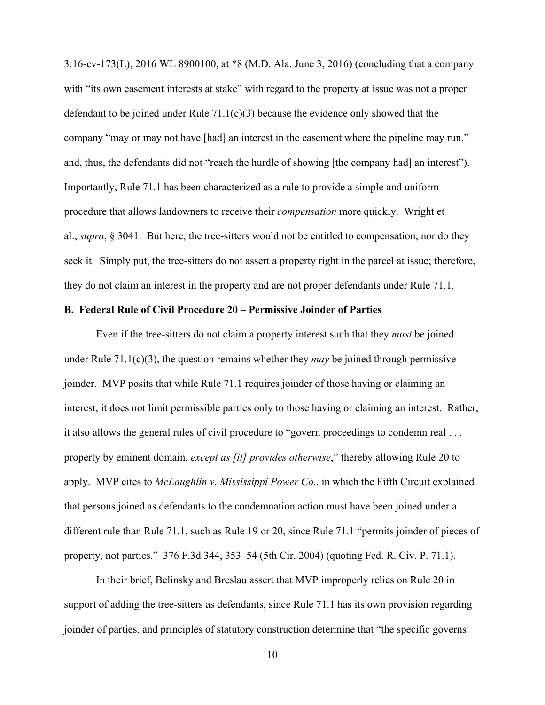3:16-cv-173(L), 2016 WL 8900100, at \*8 (M.D. Ala. June 3, 2016) (concluding that a company with "its own easement interests at stake" with regard to the property at issue was not a proper defendant to be joined under Rule 71.1(c)(3) because the evidence only showed that the company "may or may not have [had] an interest in the easement where the pipeline may run," and, thus, the defendants did not "reach the hurdle of showing [the company had] an interest"). Importantly, Rule 71.1 has been characterized as a rule to provide a simple and uniform procedure that allows landowners to receive their *compensation* more quickly. Wright et al., *supra*, § 3041. But here, the tree-sitters would not be entitled to compensation, nor do they seek it. Simply put, the tree-sitters do not assert a property right in the parcel at issue; therefore, they do not claim an interest in the property and are not proper defendants under Rule 71.1.

# **B. Federal Rule of Civil Procedure 20 – Permissive Joinder of Parties**

Even if the tree-sitters do not claim a property interest such that they *must* be joined under Rule 71.1(c)(3), the question remains whether they *may* be joined through permissive joinder. MVP posits that while Rule 71.1 requires joinder of those having or claiming an interest, it does not limit permissible parties only to those having or claiming an interest. Rather, it also allows the general rules of civil procedure to "govern proceedings to condemn real . . . property by eminent domain, *except as [it] provides otherwise*," thereby allowing Rule 20 to apply. MVP cites to *McLaughlin v. Mississippi Power Co.*, in which the Fifth Circuit explained that persons joined as defendants to the condemnation action must have been joined under a different rule than Rule 71.1, such as Rule 19 or 20, since Rule 71.1 "permits joinder of pieces of property, not parties." 376 F.3d 344, 353–54 (5th Cir. 2004) (quoting Fed. R. Civ. P. 71.1).

In their brief, Belinsky and Breslau assert that MVP improperly relies on Rule 20 in support of adding the tree-sitters as defendants, since Rule 71.1 has its own provision regarding joinder of parties, and principles of statutory construction determine that "the specific governs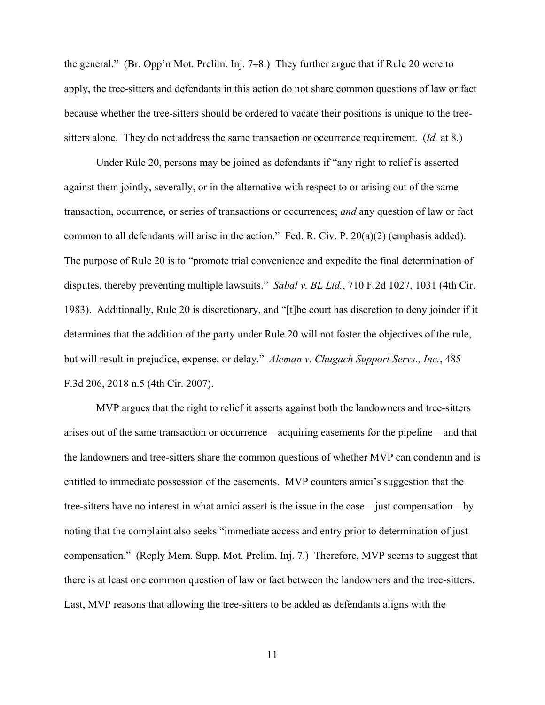the general." (Br. Opp'n Mot. Prelim. Inj. 7–8.) They further argue that if Rule 20 were to apply, the tree-sitters and defendants in this action do not share common questions of law or fact because whether the tree-sitters should be ordered to vacate their positions is unique to the treesitters alone. They do not address the same transaction or occurrence requirement. (*Id.* at 8.)

Under Rule 20, persons may be joined as defendants if "any right to relief is asserted against them jointly, severally, or in the alternative with respect to or arising out of the same transaction, occurrence, or series of transactions or occurrences; *and* any question of law or fact common to all defendants will arise in the action." Fed. R. Civ. P. 20(a)(2) (emphasis added). The purpose of Rule 20 is to "promote trial convenience and expedite the final determination of disputes, thereby preventing multiple lawsuits." *Sabal v. BL Ltd.*, 710 F.2d 1027, 1031 (4th Cir. 1983). Additionally, Rule 20 is discretionary, and "[t]he court has discretion to deny joinder if it determines that the addition of the party under Rule 20 will not foster the objectives of the rule, but will result in prejudice, expense, or delay." *Aleman v. Chugach Support Servs., Inc.*, 485 F.3d 206, 2018 n.5 (4th Cir. 2007).

MVP argues that the right to relief it asserts against both the landowners and tree-sitters arises out of the same transaction or occurrence—acquiring easements for the pipeline—and that the landowners and tree-sitters share the common questions of whether MVP can condemn and is entitled to immediate possession of the easements. MVP counters amici's suggestion that the tree-sitters have no interest in what amici assert is the issue in the case—just compensation—by noting that the complaint also seeks "immediate access and entry prior to determination of just compensation." (Reply Mem. Supp. Mot. Prelim. Inj. 7.) Therefore, MVP seems to suggest that there is at least one common question of law or fact between the landowners and the tree-sitters. Last, MVP reasons that allowing the tree-sitters to be added as defendants aligns with the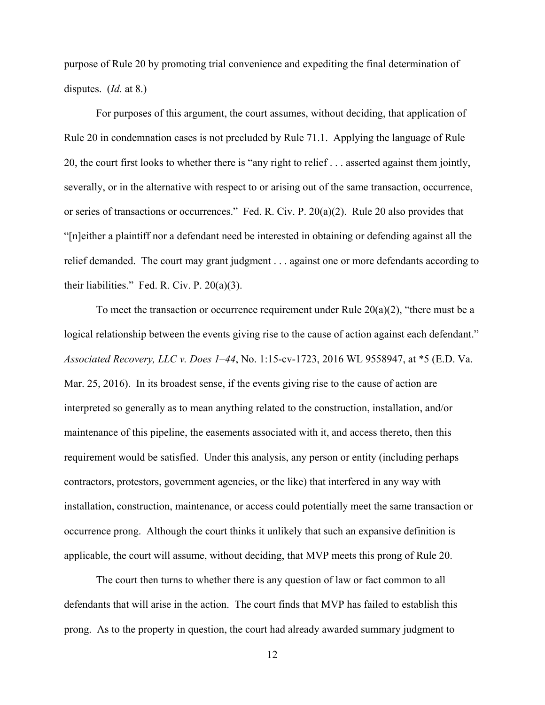purpose of Rule 20 by promoting trial convenience and expediting the final determination of disputes. (*Id.* at 8.)

 For purposes of this argument, the court assumes, without deciding, that application of Rule 20 in condemnation cases is not precluded by Rule 71.1. Applying the language of Rule 20, the court first looks to whether there is "any right to relief . . . asserted against them jointly, severally, or in the alternative with respect to or arising out of the same transaction, occurrence, or series of transactions or occurrences." Fed. R. Civ. P. 20(a)(2). Rule 20 also provides that "[n]either a plaintiff nor a defendant need be interested in obtaining or defending against all the relief demanded. The court may grant judgment . . . against one or more defendants according to their liabilities." Fed. R. Civ. P.  $20(a)(3)$ .

To meet the transaction or occurrence requirement under Rule  $20(a)(2)$ , "there must be a logical relationship between the events giving rise to the cause of action against each defendant." *Associated Recovery, LLC v. Does 1–44*, No. 1:15-cv-1723, 2016 WL 9558947, at \*5 (E.D. Va. Mar. 25, 2016). In its broadest sense, if the events giving rise to the cause of action are interpreted so generally as to mean anything related to the construction, installation, and/or maintenance of this pipeline, the easements associated with it, and access thereto, then this requirement would be satisfied. Under this analysis, any person or entity (including perhaps contractors, protestors, government agencies, or the like) that interfered in any way with installation, construction, maintenance, or access could potentially meet the same transaction or occurrence prong. Although the court thinks it unlikely that such an expansive definition is applicable, the court will assume, without deciding, that MVP meets this prong of Rule 20.

The court then turns to whether there is any question of law or fact common to all defendants that will arise in the action. The court finds that MVP has failed to establish this prong. As to the property in question, the court had already awarded summary judgment to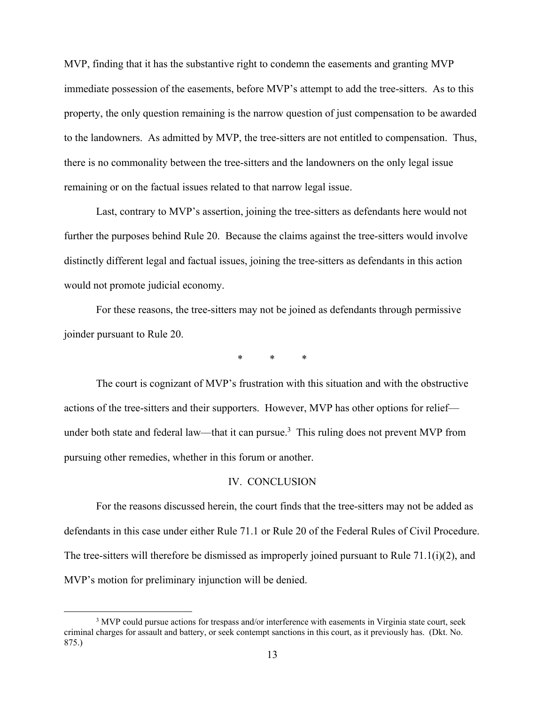MVP, finding that it has the substantive right to condemn the easements and granting MVP immediate possession of the easements, before MVP's attempt to add the tree-sitters. As to this property, the only question remaining is the narrow question of just compensation to be awarded to the landowners. As admitted by MVP, the tree-sitters are not entitled to compensation. Thus, there is no commonality between the tree-sitters and the landowners on the only legal issue remaining or on the factual issues related to that narrow legal issue.

Last, contrary to MVP's assertion, joining the tree-sitters as defendants here would not further the purposes behind Rule 20. Because the claims against the tree-sitters would involve distinctly different legal and factual issues, joining the tree-sitters as defendants in this action would not promote judicial economy.

For these reasons, the tree-sitters may not be joined as defendants through permissive joinder pursuant to Rule 20.

\* \* \*

The court is cognizant of MVP's frustration with this situation and with the obstructive actions of the tree-sitters and their supporters. However, MVP has other options for relief under both state and federal law—that it can pursue.<sup>3</sup> This ruling does not prevent MVP from pursuing other remedies, whether in this forum or another.

### IV. CONCLUSION

For the reasons discussed herein, the court finds that the tree-sitters may not be added as defendants in this case under either Rule 71.1 or Rule 20 of the Federal Rules of Civil Procedure. The tree-sitters will therefore be dismissed as improperly joined pursuant to Rule 71.1(i)(2), and MVP's motion for preliminary injunction will be denied.

 <sup>3</sup> <sup>3</sup> MVP could pursue actions for trespass and/or interference with easements in Virginia state court, seek criminal charges for assault and battery, or seek contempt sanctions in this court, as it previously has. (Dkt. No. 875.)